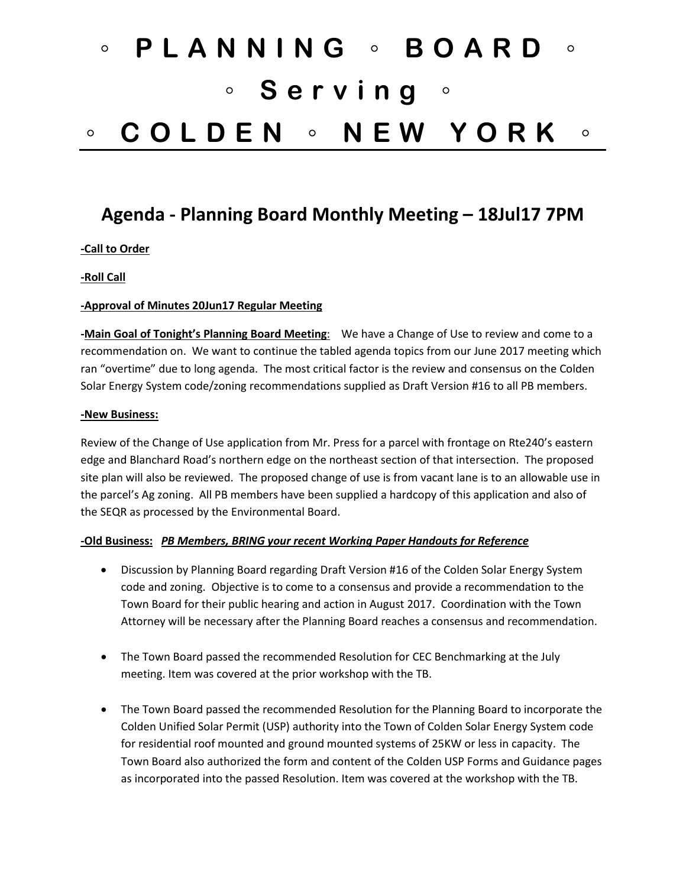# ◦ **PLANNING** ◦ **BOARD** ◦ ◦ **Serving** ◦ ◦ **COLDEN** ◦ **NEW YORK** ◦

## **Agenda - Planning Board Monthly Meeting – 18Jul17 7PM**

### **-Call to Order**

#### **-Roll Call**

#### **-Approval of Minutes 20Jun17 Regular Meeting**

**-Main Goal of Tonight's Planning Board Meeting**: We have a Change of Use to review and come to a recommendation on. We want to continue the tabled agenda topics from our June 2017 meeting which ran "overtime" due to long agenda. The most critical factor is the review and consensus on the Colden Solar Energy System code/zoning recommendations supplied as Draft Version #16 to all PB members.

#### **-New Business:**

Review of the Change of Use application from Mr. Press for a parcel with frontage on Rte240's eastern edge and Blanchard Road's northern edge on the northeast section of that intersection. The proposed site plan will also be reviewed. The proposed change of use is from vacant lane is to an allowable use in the parcel's Ag zoning. All PB members have been supplied a hardcopy of this application and also of the SEQR as processed by the Environmental Board.

#### **-Old Business:** *PB Members, BRING your recent Working Paper Handouts for Reference*

- Discussion by Planning Board regarding Draft Version #16 of the Colden Solar Energy System code and zoning. Objective is to come to a consensus and provide a recommendation to the Town Board for their public hearing and action in August 2017. Coordination with the Town Attorney will be necessary after the Planning Board reaches a consensus and recommendation.
- The Town Board passed the recommended Resolution for CEC Benchmarking at the July meeting. Item was covered at the prior workshop with the TB.
- The Town Board passed the recommended Resolution for the Planning Board to incorporate the Colden Unified Solar Permit (USP) authority into the Town of Colden Solar Energy System code for residential roof mounted and ground mounted systems of 25KW or less in capacity. The Town Board also authorized the form and content of the Colden USP Forms and Guidance pages as incorporated into the passed Resolution. Item was covered at the workshop with the TB.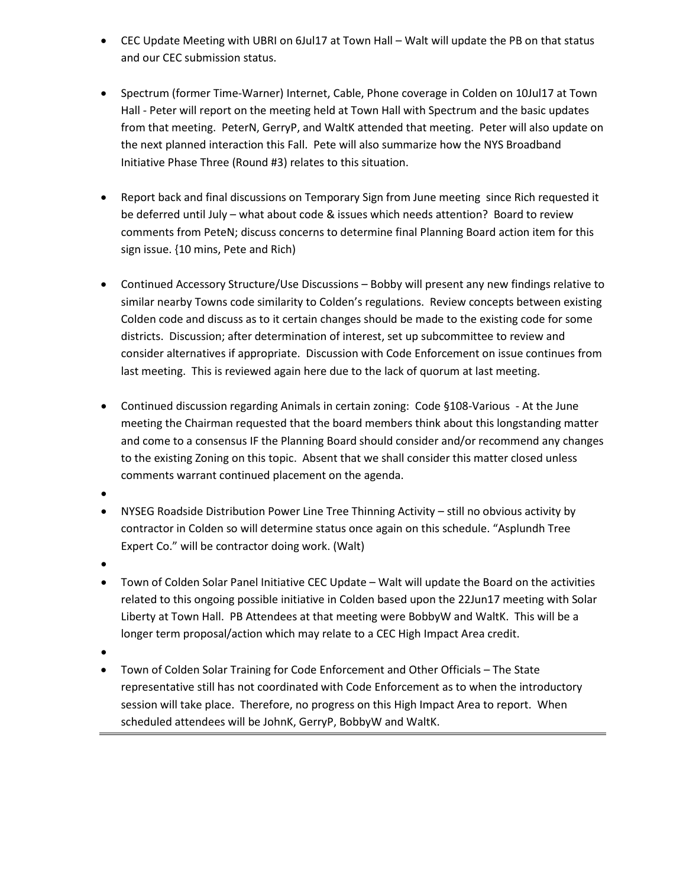- CEC Update Meeting with UBRI on 6Jul17 at Town Hall Walt will update the PB on that status and our CEC submission status.
- Spectrum (former Time-Warner) Internet, Cable, Phone coverage in Colden on 10Jul17 at Town Hall - Peter will report on the meeting held at Town Hall with Spectrum and the basic updates from that meeting. PeterN, GerryP, and WaltK attended that meeting. Peter will also update on the next planned interaction this Fall. Pete will also summarize how the NYS Broadband Initiative Phase Three (Round #3) relates to this situation.
- Report back and final discussions on Temporary Sign from June meeting since Rich requested it be deferred until July – what about code & issues which needs attention? Board to review comments from PeteN; discuss concerns to determine final Planning Board action item for this sign issue. {10 mins, Pete and Rich)
- Continued Accessory Structure/Use Discussions Bobby will present any new findings relative to similar nearby Towns code similarity to Colden's regulations. Review concepts between existing Colden code and discuss as to it certain changes should be made to the existing code for some districts. Discussion; after determination of interest, set up subcommittee to review and consider alternatives if appropriate. Discussion with Code Enforcement on issue continues from last meeting. This is reviewed again here due to the lack of quorum at last meeting.
- Continued discussion regarding Animals in certain zoning: Code §108-Various At the June meeting the Chairman requested that the board members think about this longstanding matter and come to a consensus IF the Planning Board should consider and/or recommend any changes to the existing Zoning on this topic. Absent that we shall consider this matter closed unless comments warrant continued placement on the agenda.
- •
- NYSEG Roadside Distribution Power Line Tree Thinning Activity still no obvious activity by contractor in Colden so will determine status once again on this schedule. "Asplundh Tree Expert Co." will be contractor doing work. (Walt)
- •
- Town of Colden Solar Panel Initiative CEC Update Walt will update the Board on the activities related to this ongoing possible initiative in Colden based upon the 22Jun17 meeting with Solar Liberty at Town Hall. PB Attendees at that meeting were BobbyW and WaltK. This will be a longer term proposal/action which may relate to a CEC High Impact Area credit.
- •
- Town of Colden Solar Training for Code Enforcement and Other Officials The State representative still has not coordinated with Code Enforcement as to when the introductory session will take place. Therefore, no progress on this High Impact Area to report. When scheduled attendees will be JohnK, GerryP, BobbyW and WaltK.